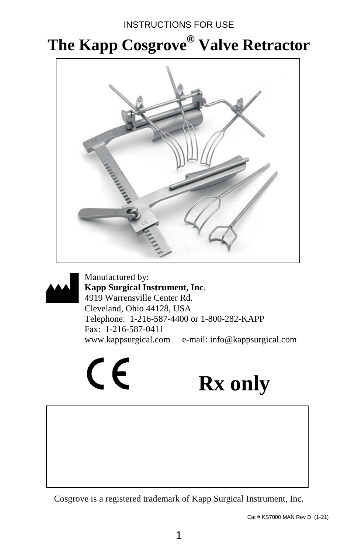### INSTRUCTIONS FOR USE

## **The Kapp Cosgrove® Valve Retractor**





Manufactured by: **Kapp Surgical Instrument, Inc**. 4919 Warrensville Center Rd. Cleveland, Ohio 44128, USA Telephone: 1-216-587-4400 or 1-800-282-KAPP Fax: 1-216-587-0411 www.kappsurgical.com e-mail: info@kappsurgical.com

**Rx only**

Cosgrove is a registered trademark of Kapp Surgical Instrument, Inc.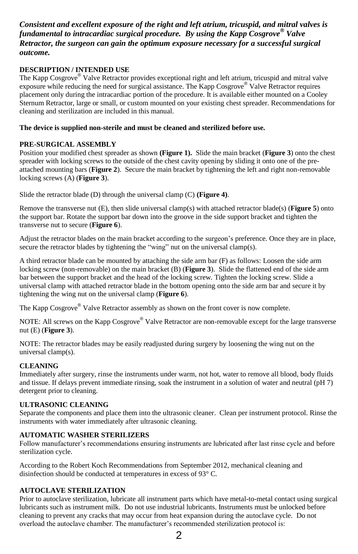#### *Consistent and excellent exposure of the right and left atrium, tricuspid, and mitral valves is fundamental to intracardiac surgical procedure. By using the Kapp Cosgrove® Valve Retractor, the surgeon can gain the optimum exposure necessary for a successful surgical outcome.*

#### **DESCRIPTION / INTENDED USE**

The Kapp Cosgrove<sup>®</sup> Valve Retractor provides exceptional right and left atrium, tricuspid and mitral valve exposure while reducing the need for surgical assistance. The Kapp Cosgrove<sup>®</sup> Valve Retractor requires placement only during the intracardiac portion of the procedure. It is available either mounted on a Cooley Sternum Retractor, large or small, or custom mounted on your existing chest spreader. Recommendations for cleaning and sterilization are included in this manual.

#### **The device is supplied non-sterile and must be cleaned and sterilized before use.**

#### **PRE-SURGICAL ASSEMBLY**

Position your modified chest spreader as shown **(Figure 1).** Slide the main bracket (**Figure 3**) onto the chest spreader with locking screws to the outside of the chest cavity opening by sliding it onto one of the preattached mounting bars (**Figure 2**). Secure the main bracket by tightening the left and right non-removable locking screws (A) (**Figure 3**).

Slide the retractor blade (D) through the universal clamp (C) **(Figure 4)**.

Remove the transverse nut (E), then slide universal clamp(s) with attached retractor blade(s) (**Figure 5**) onto the support bar. Rotate the support bar down into the groove in the side support bracket and tighten the transverse nut to secure (**Figure 6**).

Adjust the retractor blades on the main bracket according to the surgeon's preference. Once they are in place, secure the retractor blades by tightening the "wing" nut on the universal clamp(s).

A third retractor blade can be mounted by attaching the side arm bar (F) as follows: Loosen the side arm locking screw (non-removable) on the main bracket (B) (**Figure 3**). Slide the flattened end of the side arm bar between the support bracket and the head of the locking screw. Tighten the locking screw. Slide a universal clamp with attached retractor blade in the bottom opening onto the side arm bar and secure it by tightening the wing nut on the universal clamp (**Figure 6**).

The Kapp Cosgrove® Valve Retractor assembly as shown on the front cover is now complete.

NOTE: All screws on the Kapp Cosgrove<sup>®</sup> Valve Retractor are non-removable except for the large transverse nut (E) (**Figure 3**).

NOTE: The retractor blades may be easily readjusted during surgery by loosening the wing nut on the universal clamp(s).

#### **CLEANING**

Immediately after surgery, rinse the instruments under warm, not hot, water to remove all blood, body fluids and tissue. If delays prevent immediate rinsing, soak the instrument in a solution of water and neutral (pH 7) detergent prior to cleaning.

#### **ULTRASONIC CLEANING**

Separate the components and place them into the ultrasonic cleaner. Clean per instrument protocol. Rinse the instruments with water immediately after ultrasonic cleaning.

#### **AUTOMATIC WASHER STERILIZERS**

Follow manufacturer's recommendations ensuring instruments are lubricated after last rinse cycle and before sterilization cycle.

According to the Robert Koch Recommendations from September 2012, mechanical cleaning and disinfection should be conducted at temperatures in excess of 93° C.

#### **AUTOCLAVE STERILIZATION**

Prior to autoclave sterilization, lubricate all instrument parts which have metal-to-metal contact using surgical lubricants such as instrument milk. Do not use industrial lubricants. Instruments must be unlocked before cleaning to prevent any cracks that may occur from heat expansion during the autoclave cycle. Do not overload the autoclave chamber. The manufacturer's recommended sterilization protocol is: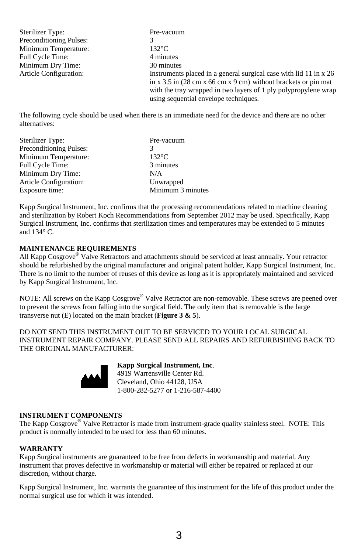| <b>Sterilizer Type:</b>        | Pre-vacuum                                                                                         |
|--------------------------------|----------------------------------------------------------------------------------------------------|
| <b>Preconditioning Pulses:</b> |                                                                                                    |
| Minimum Temperature:           | $132^{\circ}$ C                                                                                    |
| Full Cycle Time:               | 4 minutes                                                                                          |
| Minimum Dry Time:              | 30 minutes                                                                                         |
| Article Configuration:         | Instruments placed in a general surgical case with lid 11 in x 26                                  |
|                                | in x 3.5 in $(28 \text{ cm} \times 66 \text{ cm} \times 9 \text{ cm})$ without brackets or pin mat |
|                                | with the tray wrapped in two layers of 1 ply polypropylene wrap                                    |
|                                | using sequential envelope techniques.                                                              |

The following cycle should be used when there is an immediate need for the device and there are no other alternatives:

| Sterilizer Type:        | Pre-vacuum        |
|-------------------------|-------------------|
| Preconditioning Pulses: |                   |
| Minimum Temperature:    | $132^{\circ}$ C   |
| Full Cycle Time:        | 3 minutes         |
| Minimum Dry Time:       | N/A               |
| Article Configuration:  | Unwrapped         |
| Exposure time:          | Minimum 3 minutes |

Kapp Surgical Instrument, Inc. confirms that the processing recommendations related to machine cleaning and sterilization by Robert Koch Recommendations from September 2012 may be used. Specifically, Kapp Surgical Instrument, Inc. confirms that sterilization times and temperatures may be extended to 5 minutes and  $134^\circ$  C.

#### **MAINTENANCE REQUIREMENTS**

All Kapp Cosgrove<sup>®</sup> Valve Retractors and attachments should be serviced at least annually. Your retractor should be refurbished by the original manufacturer and original patent holder, Kapp Surgical Instrument, Inc. There is no limit to the number of reuses of this device as long as it is appropriately maintained and serviced by Kapp Surgical Instrument, Inc.

NOTE: All screws on the Kapp Cosgrove<sup>®</sup> Valve Retractor are non-removable. These screws are peened over to prevent the screws from falling into the surgical field. The only item that is removable is the large transverse nut (E) located on the main bracket (**Figure 3 & 5**).

DO NOT SEND THIS INSTRUMENT OUT TO BE SERVICED TO YOUR LOCAL SURGICAL INSTRUMENT REPAIR COMPANY. PLEASE SEND ALL REPAIRS AND REFURBISHING BACK TO THE ORIGINAL MANUFACTURER:



**Kapp Surgical Instrument, Inc**. 4919 Warrensville Center Rd. Cleveland, Ohio 44128, USA 1-800-282-5277 or 1-216-587-4400

#### **INSTRUMENT COMPONENTS**

The Kapp Cosgrove<sup>®</sup> Valve Retractor is made from instrument-grade quality stainless steel. NOTE: This product is normally intended to be used for less than 60 minutes.

#### **WARRANTY**

Kapp Surgical instruments are guaranteed to be free from defects in workmanship and material. Any instrument that proves defective in workmanship or material will either be repaired or replaced at our discretion, without charge.

Kapp Surgical Instrument, Inc. warrants the guarantee of this instrument for the life of this product under the normal surgical use for which it was intended.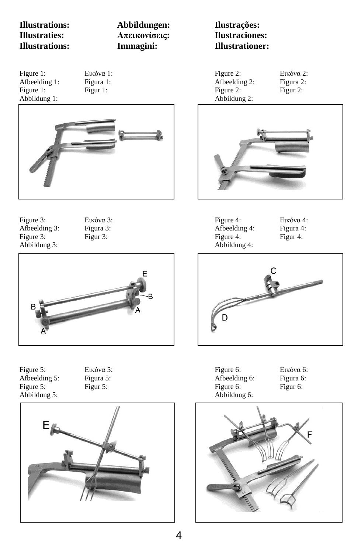**Illustrations: Abbildungen: Ilustrações: Illustraties: Απεικονίσεις: Ilustraciones: Illustrations: Immagini: Illustrationer:**

- Abbildung 1: Abbildung 2:
- 



Figure 3: Εικόνα 3: Figure 4: Εικόνα 4: Afbeelding 3: Figura 3: Figura 3: Afbeelding 4: Figura 4: Figure 3: Figur 3: Figur 3: Figur 4: Figur 4: Figur 4: Figur 4: Figur 4: Figur 4: Figur 4: Figur 4: Figur 4: Figur 4: Figur 4: Figur 4: Figur 4: Figur 4: Figur 4: Figur 4: Figur 4: Figur 4: Figur 4: Figur 4: Figur 4: Figur



Figure 5: Εικόνα 5: Figure 6: Εικόνα 6: Afbeelding 5: Figura 5: Figura 5: Afbeelding 6: Figura 6: Figure 5: Figur 5: Figure 5: Figure 5: Figure 6: Figure 6: Figure 6: Figure 6: Figure 6: Figure 6: Figure 6: Figure 6: Figure 6: Figure 6: Figure 6: Figure 6: Figure 6: Figure 6: Figure 6: Figure 6: Figure 6: Figure 6: Fig Abbildung 5:



Figure 1: Εικόνα 1: Figure 2: Εικόνα 2: Afbeelding 2: Figure 1: Figur 1: Figur 1: Figur 2: Figur 2: Figur 2:



Abbildung 3: Abbildung 4:



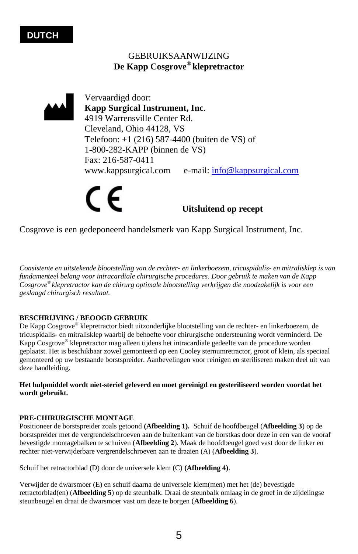#### GEBRUIKSAANWIJZING **De Kapp Cosgrove® klepretractor**



Vervaardigd door: **Kapp Surgical Instrument, Inc**. 4919 Warrensville Center Rd. Cleveland, Ohio 44128, VS Telefoon: +1 (216) 587-4400 (buiten de VS) of 1-800-282-KAPP (binnen de VS) Fax: 216-587-0411 www.kappsurgical.com e-mail: [info@kappsurgical.com](mailto:info@kappsurgical.com)

 **Uitsluitend op recept** 

Cosgrove is een gedeponeerd handelsmerk van Kapp Surgical Instrument, Inc.

*Consistente en uitstekende blootstelling van de rechter- en linkerboezem, tricuspidalis- en mitralisklep is van fundamenteel belang voor intracardiale chirurgische procedures. Door gebruik te maken van de Kapp Cosgrove® klepretractor kan de chirurg optimale blootstelling verkrijgen die noodzakelijk is voor een geslaagd chirurgisch resultaat.* 

#### **BESCHRIJVING / BEOOGD GEBRUIK**

De Kapp Cosgrove*®* klepretractor biedt uitzonderlijke blootstelling van de rechter- en linkerboezem, de tricuspidalis- en mitralisklep waarbij de behoefte voor chirurgische ondersteuning wordt verminderd. De Kapp Cosgrove*®* klepretractor mag alleen tijdens het intracardiale gedeelte van de procedure worden geplaatst. Het is beschikbaar zowel gemonteerd op een Cooley sternumretractor, groot of klein, als speciaal gemonteerd op uw bestaande borstspreider. Aanbevelingen voor reinigen en steriliseren maken deel uit van deze handleiding.

**Het hulpmiddel wordt niet-steriel geleverd en moet gereinigd en gesteriliseerd worden voordat het wordt gebruikt.** 

#### **PRE-CHIRURGISCHE MONTAGE**

Positioneer de borstspreider zoals getoond **(Afbeelding 1).** Schuif de hoofdbeugel (**Afbeelding 3**) op de borstspreider met de vergrendelschroeven aan de buitenkant van de borstkas door deze in een van de vooraf bevestigde montagebalken te schuiven (**Afbeelding 2**). Maak de hoofdbeugel goed vast door de linker en rechter niet-verwijderbare vergrendelschroeven aan te draaien (A) (**Afbeelding 3**).

Schuif het retractorblad (D) door de universele klem (C) **(Afbeelding 4)**.

Verwijder de dwarsmoer (E) en schuif daarna de universele klem(men) met het (de) bevestigde retractorblad(en) (**Afbeelding 5**) op de steunbalk. Draai de steunbalk omlaag in de groef in de zijdelingse steunbeugel en draai de dwarsmoer vast om deze te borgen (**Afbeelding 6**).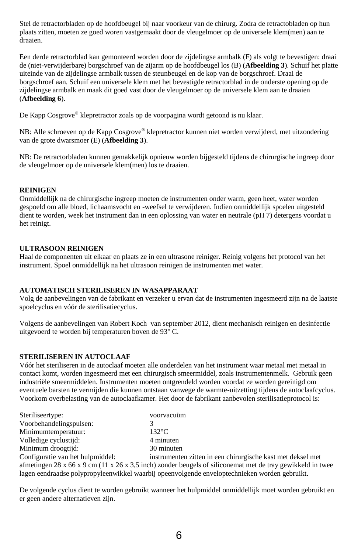Stel de retractorbladen op de hoofdbeugel bij naar voorkeur van de chirurg. Zodra de retractobladen op hun plaats zitten, moeten ze goed woren vastgemaakt door de vleugelmoer op de universele klem(men) aan te draaien.

Een derde retractorblad kan gemonteerd worden door de zijdelingse armbalk (F) als volgt te bevestigen: draai de (niet-verwijderbare) borgschroef van de zijarm op de hoofdbeugel los (B) (**Afbeelding 3**). Schuif het platte uiteinde van de zijdelingse armbalk tussen de steunbeugel en de kop van de borgschroef. Draai de borgschroef aan. Schuif een universele klem met het bevestigde retractorblad in de onderste opening op de zijdelingse armbalk en maak dit goed vast door de vleugelmoer op de universele klem aan te draaien (**Afbeelding 6**).

De Kapp Cosgrove*®* klepretractor zoals op de voorpagina wordt getoond is nu klaar.

NB: Alle schroeven op de Kapp Cosgrove*®* klepretractor kunnen niet worden verwijderd, met uitzondering van de grote dwarsmoer (E) (**Afbeelding 3**).

NB: De retractorbladen kunnen gemakkelijk opnieuw worden bijgesteld tijdens de chirurgische ingreep door de vleugelmoer op de universele klem(men) los te draaien.

#### **REINIGEN**

Onmiddellijk na de chirurgische ingreep moeten de instrumenten onder warm, geen heet, water worden gespoeld om alle bloed, lichaamsvocht en -weefsel te verwijderen. Indien onmiddellijk spoelen uitgesteld dient te worden, week het instrument dan in een oplossing van water en neutrale (pH 7) detergens voordat u het reinigt.

#### **ULTRASOON REINIGEN**

Haal de componenten uit elkaar en plaats ze in een ultrasone reiniger. Reinig volgens het protocol van het instrument. Spoel onmiddellijk na het ultrasoon reinigen de instrumenten met water.

#### **AUTOMATISCH STERILISEREN IN WASAPPARAAT**

Volg de aanbevelingen van de fabrikant en verzeker u ervan dat de instrumenten ingesmeerd zijn na de laatste spoelcyclus en vóór de sterilisatiecyclus.

Volgens de aanbevelingen van Robert Koch van september 2012, dient mechanisch reinigen en desinfectie uitgevoerd te worden bij temperaturen boven de 93° C.

#### **STERILISEREN IN AUTOCLAAF**

Vóór het steriliseren in de autoclaaf moeten alle onderdelen van het instrument waar metaal met metaal in contact komt, worden ingesmeerd met een chirurgisch smeermiddel, zoals instrumentenmelk. Gebruik geen industriële smeermiddelen. Instrumenten moeten ontgrendeld worden voordat ze worden gereinigd om eventuele barsten te vermijden die kunnen ontstaan vanwege de warmte-uitzetting tijdens de autoclaafcyclus. Voorkom overbelasting van de autoclaafkamer. Het door de fabrikant aanbevolen sterilisatieprotocol is:

| Steriliseertype:                 | voorvacuüm                                                                                                 |
|----------------------------------|------------------------------------------------------------------------------------------------------------|
| Voorbehandelingspulsen:          |                                                                                                            |
| Minimumtemperatuur:              | $132^{\circ}$ C                                                                                            |
| Volledige cyclustiid:            | 4 minuten                                                                                                  |
| Minimum droogtijd:               | 30 minuten                                                                                                 |
| Configuratie van het hulpmiddel: | instrumenten zitten in een chirurgische kast met deksel met                                                |
|                                  | afmetingen 28 x 66 x 9 cm (11 x 26 x 3,5 inch) zonder beugels of siliconemat met de tray gewikkeld in twee |
|                                  | lagen eendraadse polypropyleenwikkel waarbij opeenvolgende enveloptechnieken worden gebruikt.              |

De volgende cyclus dient te worden gebruikt wanneer het hulpmiddel onmiddellijk moet worden gebruikt en er geen andere alternatieven zijn.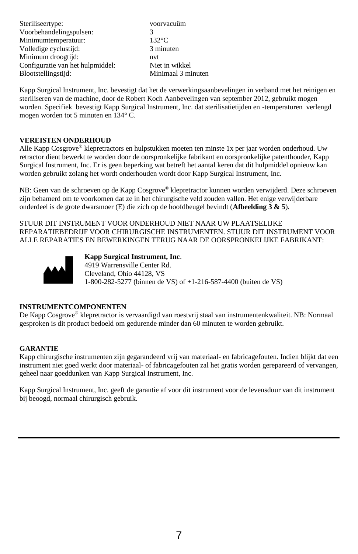| voorvacuüm         |
|--------------------|
|                    |
| $132^{\circ}$ C    |
| 3 minuten          |
| nvt                |
| Niet in wikkel     |
| Minimaal 3 minuten |
|                    |

Kapp Surgical Instrument, Inc. bevestigt dat het de verwerkingsaanbevelingen in verband met het reinigen en steriliseren van de machine, door de Robert Koch Aanbevelingen van september 2012, gebruikt mogen worden. Specifiek bevestigt Kapp Surgical Instrument, Inc. dat sterilisatietijden en -temperaturen verlengd mogen worden tot 5 minuten en 134° C.

#### **VEREISTEN ONDERHOUD**

Alle Kapp Cosgrove® klepretractors en hulpstukken moeten ten minste 1x per jaar worden onderhoud. Uw retractor dient bewerkt te worden door de oorspronkelijke fabrikant en oorspronkelijke patenthouder, Kapp Surgical Instrument, Inc. Er is geen beperking wat betreft het aantal keren dat dit hulpmiddel opnieuw kan worden gebruikt zolang het wordt onderhouden wordt door Kapp Surgical Instrument, Inc.

NB: Geen van de schroeven op de Kapp Cosgrove® klepretractor kunnen worden verwijderd. Deze schroeven zijn behamerd om te voorkomen dat ze in het chirurgische veld zouden vallen. Het enige verwijderbare onderdeel is de grote dwarsmoer (E) die zich op de hoofdbeugel bevindt (**Afbeelding 3 & 5**).

STUUR DIT INSTRUMENT VOOR ONDERHOUD NIET NAAR UW PLAATSELIJKE REPARATIEBEDRIJF VOOR CHIRURGISCHE INSTRUMENTEN. STUUR DIT INSTRUMENT VOOR ALLE REPARATIES EN BEWERKINGEN TERUG NAAR DE OORSPRONKELIJKE FABRIKANT:



**Kapp Surgical Instrument, Inc**. 4919 Warrensville Center Rd. Cleveland, Ohio 44128, VS 1-800-282-5277 (binnen de VS) of +1-216-587-4400 (buiten de VS)

#### **INSTRUMENTCOMPONENTEN**

De Kapp Cosgrove® klepretractor is vervaardigd van roestvrij staal van instrumentenkwaliteit. NB: Normaal gesproken is dit product bedoeld om gedurende minder dan 60 minuten te worden gebruikt.

#### **GARANTIE**

Kapp chirurgische instrumenten zijn gegarandeerd vrij van materiaal- en fabricagefouten. Indien blijkt dat een instrument niet goed werkt door materiaal- of fabricagefouten zal het gratis worden gerepareerd of vervangen, geheel naar goeddunken van Kapp Surgical Instrument, Inc.

Kapp Surgical Instrument, Inc. geeft de garantie af voor dit instrument voor de levensduur van dit instrument bij beoogd, normaal chirurgisch gebruik.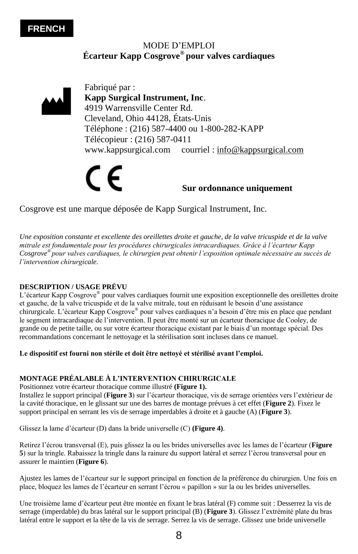#### **FRENCH**

#### MODE D'EMPLOI **Écarteur Kapp Cosgrove® pour valves cardiaques**



www.kappsurgical.com courriel : [info@kappsurgical.com](mailto:info@kappsurgical.com)

## **Sur ordonnance uniquement**

Cosgrove est une marque déposée de Kapp Surgical Instrument, Inc.

*Une exposition constante et excellente des oreillettes droite et gauche, de la valve tricuspide et de la valve mitrale est fondamentale pour les procédures chirurgicales intracardiaques. Grâce à l'écarteur Kapp Cosgrove® pour valves cardiaques, le chirurgien peut obtenir l'exposition optimale nécessaire au succès de l'intervention chirurgicale.* 

#### **DESCRIPTION / USAGE PRÉVU**

L'écarteur Kapp Cosgrove<sup>®</sup> pour valves cardiaques fournit une exposition exceptionnelle des oreillettes droite et gauche, de la valve tricuspide et de la valve mitrale, tout en réduisant le besoin d'une assistance chirurgicale. L'écarteur Kapp Cosgrove*®* pour valves cardiaques n'a besoin d'être mis en place que pendant le segment intracardiaque de l'intervention. Il peut être monté sur un écarteur thoracique de Cooley, de grande ou de petite taille, ou sur votre écarteur thoracique existant par le biais d'un montage spécial. Des recommandations concernant le nettoyage et la stérilisation sont incluses dans ce manuel.

#### **Le dispositif est fourni non stérile et doit être nettoyé et stérilisé avant l'emploi.**

#### **MONTAGE PRÉALABLE À L'INTERVENTION CHIRURGICALE**

Positionnez votre écarteur thoracique comme illustré **(Figure 1).** 

Installez le support principal (**Figure 3**) sur l'écarteur thoracique, vis de serrage orientées vers l'extérieur de la cavité thoracique, en le glissant sur une des barres de montage prévues à cet effet (**Figure 2**). Fixez le support principal en serrant les vis de serrage imperdables à droite et à gauche (A) (**Figure 3**).

Glissez la lame d'écarteur (D) dans la bride universelle (C) **(Figure 4)**.

Retirez l'écrou transversal (E), puis glissez la ou les brides universelles avec les lames de l'écarteur (**Figure 5**) sur la tringle. Rabaissez la tringle dans la rainure du support latéral et serrez l'écrou transversal pour en assurer le maintien (**Figure 6**).

Ajustez les lames de l'écarteur sur le support principal en fonction de la préférence du chirurgien. Une fois en place, bloquez les lames de l'écarteur en serrant l'écrou « papillon » sur la ou les brides universelles.

Une troisième lame d'écarteur peut être montée en fixant le bras latéral (F) comme suit : Desserrez la vis de serrage (imperdable) du bras latéral sur le support principal (B) (**Figure 3**). Glissez l'extrémité plate du bras latéral entre le support et la tête de la vis de serrage. Serrez la vis de serrage. Glissez une bride universelle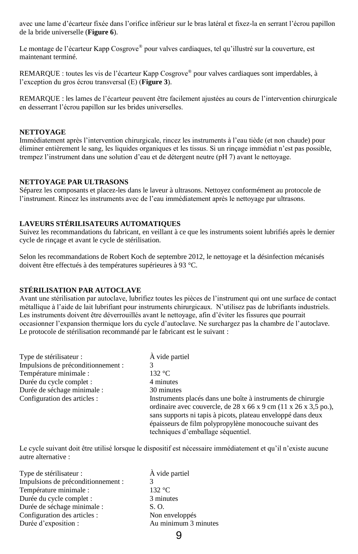avec une lame d'écarteur fixée dans l'orifice inférieur sur le bras latéral et fixez-la en serrant l'écrou papillon de la bride universelle (**Figure 6**).

Le montage de l'écarteur Kapp Cosgrove*®* pour valves cardiaques, tel qu'illustré sur la couverture, est maintenant terminé.

REMARQUE : toutes les vis de l'écarteur Kapp Cosgrove*®* pour valves cardiaques sont imperdables, à l'exception du gros écrou transversal (E) (**Figure 3**).

REMARQUE : les lames de l'écarteur peuvent être facilement ajustées au cours de l'intervention chirurgicale en desserrant l'écrou papillon sur les brides universelles.

#### **NETTOYAGE**

Immédiatement après l'intervention chirurgicale, rincez les instruments à l'eau tiède (et non chaude) pour éliminer entièrement le sang, les liquides organiques et les tissus. Si un rinçage immédiat n'est pas possible, trempez l'instrument dans une solution d'eau et de détergent neutre (pH 7) avant le nettoyage.

#### **NETTOYAGE PAR ULTRASONS**

Séparez les composants et placez-les dans le laveur à ultrasons. Nettoyez conformément au protocole de l'instrument. Rincez les instruments avec de l'eau immédiatement après le nettoyage par ultrasons.

#### **LAVEURS STÉRILISATEURS AUTOMATIQUES**

Suivez les recommandations du fabricant, en veillant à ce que les instruments soient lubrifiés après le dernier cycle de rinçage et avant le cycle de stérilisation.

Selon les recommandations de Robert Koch de septembre 2012, le nettoyage et la désinfection mécanisés doivent être effectués à des températures supérieures à 93 °C.

#### **STÉRILISATION PAR AUTOCLAVE**

Avant une stérilisation par autoclave, lubrifiez toutes les pièces de l'instrument qui ont une surface de contact métallique à l'aide de lait lubrifiant pour instruments chirurgicaux. N'utilisez pas de lubrifiants industriels. Les instruments doivent être déverrouillés avant le nettoyage, afin d'éviter les fissures que pourrait occasionner l'expansion thermique lors du cycle d'autoclave. Ne surchargez pas la chambre de l'autoclave. Le protocole de stérilisation recommandé par le fabricant est le suivant :

| Type de stérilisateur :            | À vide partiel                                                                                                                                                                                                                                                                                                             |
|------------------------------------|----------------------------------------------------------------------------------------------------------------------------------------------------------------------------------------------------------------------------------------------------------------------------------------------------------------------------|
| Impulsions de préconditionnement : |                                                                                                                                                                                                                                                                                                                            |
| Température minimale :             | 132 °C                                                                                                                                                                                                                                                                                                                     |
| Durée du cycle complet :           | 4 minutes                                                                                                                                                                                                                                                                                                                  |
| Durée de séchage minimale :        | 30 minutes                                                                                                                                                                                                                                                                                                                 |
| Configuration des articles :       | Instruments placés dans une boîte à instruments de chirurgie<br>ordinaire avec couvercle, de $28 \times 66 \times 9$ cm $(11 \times 26 \times 3,5)$ po.),<br>sans supports ni tapis à picots, plateau enveloppé dans deux<br>épaisseurs de film polypropylène monocouche suivant des<br>techniques d'emballage séquentiel. |

Le cycle suivant doit être utilisé lorsque le dispositif est nécessaire immédiatement et qu'il n'existe aucune autre alternative :

9

| Type de stérilisateur :            | À vide partiel       |
|------------------------------------|----------------------|
| Impulsions de préconditionnement : |                      |
| Température minimale :             | 132 °C               |
| Durée du cycle complet :           | 3 minutes            |
| Durée de séchage minimale :        | S. O.                |
| Configuration des articles :       | Non enveloppés       |
| Durée d'exposition :               | Au minimum 3 minutes |
|                                    |                      |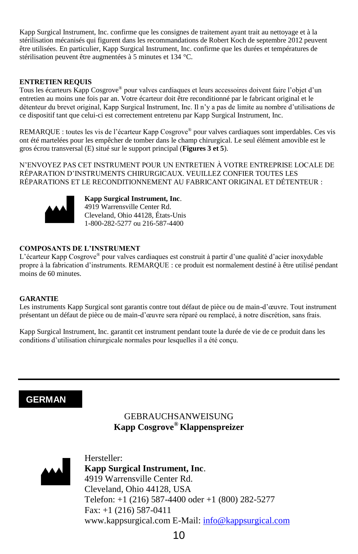Kapp Surgical Instrument, Inc. confirme que les consignes de traitement ayant trait au nettoyage et à la stérilisation mécanisés qui figurent dans les recommandations de Robert Koch de septembre 2012 peuvent être utilisées. En particulier, Kapp Surgical Instrument, Inc. confirme que les durées et températures de stérilisation peuvent être augmentées à 5 minutes et 134 °C.

#### **ENTRETIEN REQUIS**

Tous les écarteurs Kapp Cosgrove® pour valves cardiaques et leurs accessoires doivent faire l'objet d'un entretien au moins une fois par an. Votre écarteur doit être reconditionné par le fabricant original et le détenteur du brevet original, Kapp Surgical Instrument, Inc. Il n'y a pas de limite au nombre d'utilisations de ce dispositif tant que celui-ci est correctement entretenu par Kapp Surgical Instrument, Inc.

REMARQUE : toutes les vis de l'écarteur Kapp Cosgrove® pour valves cardiaques sont imperdables. Ces vis ont été martelées pour les empêcher de tomber dans le champ chirurgical. Le seul élément amovible est le gros écrou transversal (E) situé sur le support principal (**Figures 3 et 5**).

N'ENVOYEZ PAS CET INSTRUMENT POUR UN ENTRETIEN À VOTRE ENTREPRISE LOCALE DE RÉPARATION D'INSTRUMENTS CHIRURGICAUX. VEUILLEZ CONFIER TOUTES LES RÉPARATIONS ET LE RECONDITIONNEMENT AU FABRICANT ORIGINAL ET DÉTENTEUR :



**Kapp Surgical Instrument, Inc**. 4919 Warrensville Center Rd. Cleveland, Ohio 44128, États-Unis 1-800-282-5277 ou 216-587-4400

#### **COMPOSANTS DE L'INSTRUMENT**

L'écarteur Kapp Cosgrove® pour valves cardiaques est construit à partir d'une qualité d'acier inoxydable propre à la fabrication d'instruments. REMARQUE : ce produit est normalement destiné à être utilisé pendant moins de 60 minutes.

#### **GARANTIE**

Les instruments Kapp Surgical sont garantis contre tout défaut de pièce ou de main-d'œuvre. Tout instrument présentant un défaut de pièce ou de main-d'œuvre sera réparé ou remplacé, à notre discrétion, sans frais.

Kapp Surgical Instrument, Inc. garantit cet instrument pendant toute la durée de vie de ce produit dans les conditions d'utilisation chirurgicale normales pour lesquelles il a été conçu.

#### **GERMAN**

#### GEBRAUCHSANWEISUNG **Kapp Cosgrove® Klappenspreizer**



Hersteller: **Kapp Surgical Instrument, Inc**. 4919 Warrensville Center Rd. Cleveland, Ohio 44128, USA Telefon: +1 (216) 587-4400 oder +1 (800) 282-5277 Fax: +1 (216) 587-0411 www.kappsurgical.com E-Mail[: info@kappsurgical.com](mailto:info@kappsurgical.com)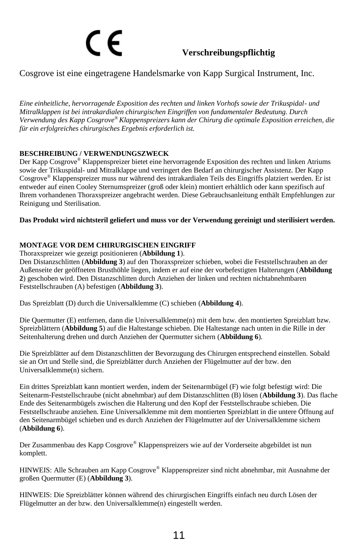# **Verschreibungspflichtig**

#### Cosgrove ist eine eingetragene Handelsmarke von Kapp Surgical Instrument, Inc.

*Eine einheitliche, hervorragende Exposition des rechten und linken Vorhofs sowie der Trikuspidal- und Mitralklappen ist bei intrakardialen chirurgischen Eingriffen von fundamentaler Bedeutung. Durch Verwendung des Kapp Cosgrove® Klappenspreizers kann der Chirurg die optimale Exposition erreichen, die für ein erfolgreiches chirurgisches Ergebnis erforderlich ist.* 

#### **BESCHREIBUNG / VERWENDUNGSZWECK**

Der Kapp Cosgrove*®* Klappenspreizer bietet eine hervorragende Exposition des rechten und linken Atriums sowie der Trikuspidal- und Mitralklappe und verringert den Bedarf an chirurgischer Assistenz. Der Kapp Cosgrove*®* Klappenspreizer muss nur während des intrakardialen Teils des Eingriffs platziert werden. Er ist entweder auf einen Cooley Sternumspreizer (groß oder klein) montiert erhältlich oder kann spezifisch auf Ihrem vorhandenen Thoraxspreizer angebracht werden. Diese Gebrauchsanleitung enthält Empfehlungen zur Reinigung und Sterilisation.

#### **Das Produkt wird nichtsteril geliefert und muss vor der Verwendung gereinigt und sterilisiert werden.**

#### **MONTAGE VOR DEM CHIRURGISCHEN EINGRIFF**

Thoraxspreizer wie gezeigt positionieren (**Abbildung 1**).

Den Distanzschlitten (**Abbildung 3**) auf den Thoraxspreizer schieben, wobei die Feststellschrauben an der Außenseite der geöffneten Brusthöhle liegen, indem er auf eine der vorbefestigten Halterungen (**Abbildung 2**) geschoben wird. Den Distanzschlitten durch Anziehen der linken und rechten nichtabnehmbaren Feststellschrauben (A) befestigen (**Abbildung 3**).

Das Spreizblatt (D) durch die Universalklemme (C) schieben (**Abbildung 4**).

Die Quermutter (E) entfernen, dann die Universalklemme(n) mit dem bzw. den montierten Spreizblatt bzw. Spreizblättern (**Abbildung 5**) auf die Haltestange schieben. Die Haltestange nach unten in die Rille in der Seitenhalterung drehen und durch Anziehen der Quermutter sichern (**Abbildung 6**).

Die Spreizblätter auf dem Distanzschlitten der Bevorzugung des Chirurgen entsprechend einstellen. Sobald sie an Ort und Stelle sind, die Spreizblätter durch Anziehen der Flügelmutter auf der bzw. den Universalklemme(n) sichern.

Ein drittes Spreizblatt kann montiert werden, indem der Seitenarmbügel (F) wie folgt befestigt wird: Die Seitenarm-Feststellschraube (nicht abnehmbar) auf dem Distanzschlitten (B) lösen (**Abbildung 3**). Das flache Ende des Seitenarmbügels zwischen die Halterung und den Kopf der Feststellschraube schieben. Die Feststellschraube anziehen. Eine Universalklemme mit dem montierten Spreizblatt in die untere Öffnung auf den Seitenarmbügel schieben und es durch Anziehen der Flügelmutter auf der Universalklemme sichern (**Abbildung 6**).

Der Zusammenbau des Kapp Cosgrove*®* Klappenspreizers wie auf der Vorderseite abgebildet ist nun komplett.

HINWEIS: Alle Schrauben am Kapp Cosgrove*®* Klappenspreizer sind nicht abnehmbar, mit Ausnahme der großen Quermutter (E) (**Abbildung 3**).

HINWEIS: Die Spreizblätter können während des chirurgischen Eingriffs einfach neu durch Lösen der Flügelmutter an der bzw. den Universalklemme(n) eingestellt werden.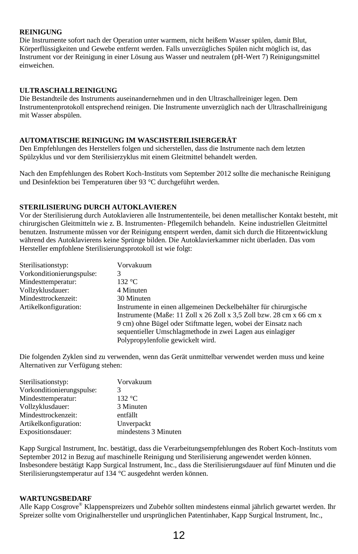#### **REINIGUNG**

Die Instrumente sofort nach der Operation unter warmem, nicht heißem Wasser spülen, damit Blut, Körperflüssigkeiten und Gewebe entfernt werden. Falls unverzügliches Spülen nicht möglich ist, das Instrument vor der Reinigung in einer Lösung aus Wasser und neutralem (pH-Wert 7) Reinigungsmittel einweichen.

#### **ULTRASCHALLREINIGUNG**

Die Bestandteile des Instruments auseinandernehmen und in den Ultraschallreiniger legen. Dem Instrumentenprotokoll entsprechend reinigen. Die Instrumente unverzüglich nach der Ultraschallreinigung mit Wasser abspülen.

#### **AUTOMATISCHE REINIGUNG IM WASCHSTERILISIERGERÄT**

Den Empfehlungen des Herstellers folgen und sicherstellen, dass die Instrumente nach dem letzten Spülzyklus und vor dem Sterilisierzyklus mit einem Gleitmittel behandelt werden.

Nach den Empfehlungen des Robert Koch-Instituts vom September 2012 sollte die mechanische Reinigung und Desinfektion bei Temperaturen über 93 °C durchgeführt werden.

#### **STERILISIERUNG DURCH AUTOKLAVIEREN**

Vor der Sterilisierung durch Autoklavieren alle Instrumententeile, bei denen metallischer Kontakt besteht, mit chirurgischen Gleitmitteln wie z. B. Instrumenten- Pflegemilch behandeln. Keine industriellen Gleitmittel benutzen. Instrumente müssen vor der Reinigung entsperrt werden, damit sich durch die Hitzeentwicklung während des Autoklavierens keine Sprünge bilden. Die Autoklavierkammer nicht überladen. Das vom Hersteller empfohlene Sterilisierungsprotokoll ist wie folgt:

| Sterilisationstyp:        | Vorvakuum                                                            |
|---------------------------|----------------------------------------------------------------------|
| Vorkonditionierungspulse: | 3                                                                    |
| Mindesttemperatur:        | 132 °C.                                                              |
| Vollzyklusdauer:          | 4 Minuten                                                            |
| Mindesttrockenzeit:       | 30 Minuten                                                           |
| Artikelkonfiguration:     | Instrumente in einen allgemeinen Deckelbehälter für chirurgische     |
|                           | Instrumente (Maße: 11 Zoll x 26 Zoll x 3.5 Zoll bzw. 28 cm x 66 cm x |
|                           | 9 cm) ohne Bügel oder Stiftmatte legen, wobei der Einsatz nach       |
|                           | sequentieller Umschlagmethode in zwei Lagen aus einlagiger           |
|                           | Polypropylenfolie gewickelt wird.                                    |

Die folgenden Zyklen sind zu verwenden, wenn das Gerät unmittelbar verwendet werden muss und keine Alternativen zur Verfügung stehen:

| Sterilisationstyp:        | Vorvakuum            |
|---------------------------|----------------------|
| Vorkonditionierungspulse: |                      |
| Mindesttemperatur:        | 132 °C               |
| Vollzyklusdauer:          | 3 Minuten            |
| Mindesttrockenzeit:       | entfällt             |
| Artikelkonfiguration:     | Unverpackt           |
| Expositionsdauer:         | mindestens 3 Minuten |

Kapp Surgical Instrument, Inc. bestätigt, dass die Verarbeitungsempfehlungen des Robert Koch-Instituts vom September 2012 in Bezug auf maschinelle Reinigung und Sterilisierung angewendet werden können. Insbesondere bestätigt Kapp Surgical Instrument, Inc., dass die Sterilisierungsdauer auf fünf Minuten und die Sterilisierungstemperatur auf 134 °C ausgedehnt werden können.

#### **WARTUNGSBEDARF**

Alle Kapp Cosgrove® Klappenspreizers und Zubehör sollten mindestens einmal jährlich gewartet werden. Ihr Spreizer sollte vom Originalhersteller und ursprünglichen Patentinhaber, Kapp Surgical Instrument, Inc.,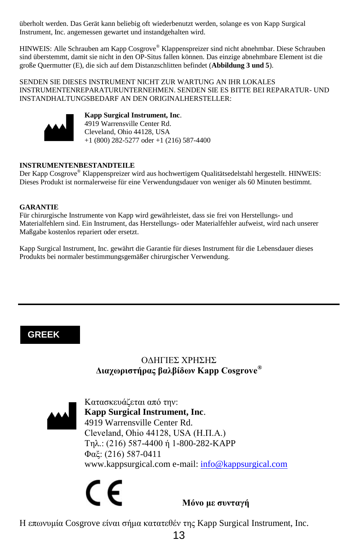überholt werden. Das Gerät kann beliebig oft wiederbenutzt werden, solange es von Kapp Surgical Instrument, Inc. angemessen gewartet und instandgehalten wird.

HINWEIS: Alle Schrauben am Kapp Cosgrove® Klappenspreizer sind nicht abnehmbar. Diese Schrauben sind überstemmt, damit sie nicht in den OP-Situs fallen können. Das einzige abnehmbare Element ist die große Quermutter (E), die sich auf dem Distanzschlitten befindet (**Abbildung 3 und 5**).

SENDEN SIE DIESES INSTRUMENT NICHT ZUR WARTUNG AN IHR LOKALES INSTRUMENTENREPARATURUNTERNEHMEN. SENDEN SIE ES BITTE BEI REPARATUR- UND INSTANDHALTUNGSBEDARF AN DEN ORIGINALHERSTELLER:



**Kapp Surgical Instrument, Inc**. 4919 Warrensville Center Rd. Cleveland, Ohio 44128, USA +1 (800) 282-5277 oder +1 (216) 587-4400

#### **INSTRUMENTENBESTANDTEILE**

Der Kapp Cosgrove® Klappenspreizer wird aus hochwertigem Qualitätsedelstahl hergestellt. HINWEIS: Dieses Produkt ist normalerweise für eine Verwendungsdauer von weniger als 60 Minuten bestimmt.

#### **GARANTIE**

Für chirurgische Instrumente von Kapp wird gewährleistet, dass sie frei von Herstellungs- und Materialfehlern sind. Ein Instrument, das Herstellungs- oder Materialfehler aufweist, wird nach unserer Maßgabe kostenlos repariert oder ersetzt.

Kapp Surgical Instrument, Inc. gewährt die Garantie für dieses Instrument für die Lebensdauer dieses Produkts bei normaler bestimmungsgemäßer chirurgischer Verwendung.

#### **GREEK**

#### ΟΔΗΓΙΕΣ ΧΡΗΣΗΣ **Διαχωριστήρας βαλβίδων Kapp Cosgrove®**



Κατασκευάζεται από την: **Kapp Surgical Instrument, Inc**. 4919 Warrensville Center Rd. Cleveland, Ohio 44128, USA (Η.Π.Α.) Τηλ.: (216) 587-4400 ή 1-800-282-KAPP Φαξ: (216) 587-0411 www.kappsurgical.com e-mail: [info@kappsurgical.com](mailto:info@kappsurgical.com)

# $\epsilon \epsilon$  *Móvo με συνταγή*

Η επωνυμία Cosgrove είναι σήμα κατατεθέν της Kapp Surgical Instrument, Inc.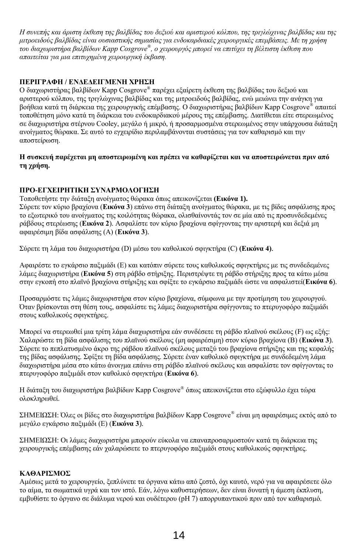*Η συνεπής και άριστη έκθεση της βαλβίδας του δεξιού και αριστερού κόλπου, της τριγλώχινας βαλβίδας και της μιτροειδούς βαλβίδας είναι ουσιαστικής σημασίας για ενδοκαρδιακές χειρουργικές επεμβάσεις. Με τη χρήση του διαχωριστήρα βαλβίδων Kapp Cosgrove® , ο χειρουργός μπορεί να επιτύχει τη βέλτιστη έκθεση που απαιτείται για μια επιτυχημένη χειρουργική έκβαση.*

#### **ΠΕΡΙΓΡΑΦΗ / ΕΝΔΕΔΕΙΓΜΕΝΗ ΧΡΗΣΗ**

Ο διαχωριστήρας βαλβίδων Kapp Cosgrove*®* παρέχει εξαίρετη έκθεση της βαλβίδας του δεξιού και αριστερού κόλπου, της τριγλώχινας βαλβίδας και της μιτροειδούς βαλβίδας, ενώ μειώνει την ανάγκη για βοήθεια κατά τη διάρκεια της χειρουργικής επέμβασης. Ο διαχωριστήρας βαλβίδων Kapp Cosgrove*®* απαιτεί τοποθέτηση μόνο κατά τη διάρκεια του ενδοκαρδιακού μέρους της επέμβασης. Διατίθεται είτε στερεωμένος σε διαχωριστήρα στέρνου Cooley, μεγάλο ή μικρό, ή προσαρμοσμένα στερεωμένος στην υπάρχουσα διάταξη ανοίγματος θώρακα. Σε αυτό το εγχειρίδιο περιλαμβάνονται συστάσεις για τον καθαρισμό και την αποστείρωση.

#### **Η συσκευή παρέχεται μη αποστειρωμένη και πρέπει να καθαρίζεται και να αποστειρώνεται πριν από τη χρήση.**

#### **ΠΡΟ-ΕΓΧΕΙΡΗΤΙΚΗ ΣΥΝΑΡΜΟΛΟΓΗΣΗ**

Τοποθετήστε την διάταξη ανοίγματος θώρακα όπως απεικονίζεται **(Εικόνα 1).** Σύρετε τον κύριο βραχίονα (**Εικόνα 3**) επάνω στη διάταξη ανοίγματος θώρακα, με τις βίδες ασφάλισης προς το εξωτερικό του ανοίγματος της κοιλότητας θώρακα, ολισθαίνοντάς τον σε μία από τις προσυνδεδεμένες ράβδους στερέωσης (**Εικόνα 2**). Ασφαλίστε τον κύριο βραχίονα σφίγγοντας την αριστερή και δεξιά μη αφαιρέσιμη βίδα ασφάλισης (A) (**Εικόνα 3**).

Σύρετε τη λάμα του διαχωριστήρα (D) μέσω του καθολικού σφιγκτήρα (C) **(Εικόνα 4)**.

Αφαιρέστε το εγκάρσιο παξιμάδι (E) και κατόπιν σύρετε τους καθολικούς σφιγκτήρες με τις συνδεδεμένες λάμες διαχωριστήρα (**Εικόνα 5**) στη ράβδο στήριξης. Περιστρέψτε τη ράβδο στήριξης προς τα κάτω μέσα στην εγκοπή στο πλαϊνό βραχίονα στήριξης και σφίξτε το εγκάρσιο παξιμάδι ώστε να ασφαλιστεί(**Εικόνα 6**).

Προσαρμόστε τις λάμες διαχωριστήρα στον κύριο βραχίονα, σύμφωνα με την προτίμηση του χειρουργού. Όταν βρίσκονται στη θέση τους, ασφαλίστε τις λάμες διαχωριστήρα σφίγγοντας το πτερυγοφόρο παξιμάδι στους καθολικούς σφιγκτήρες.

Μπορεί να στερεωθεί μια τρίτη λάμα διαχωριστήρα εάν συνδέσετε τη ράβδο πλαϊνού σκέλους (F) ως εξής: Χαλαρώστε τη βίδα ασφάλισης του πλαϊνού σκέλους (μη αφαιρέσιμη) στον κύριο βραχίονα (B) (**Εικόνα 3**). Σύρετε το πεπλατυσμένο άκρο της ράβδου πλαϊνού σκέλους μεταξύ του βραχίονα στήριξης και της κεφαλής της βίδας ασφάλισης. Σφίξτε τη βίδα ασφάλισης. Σύρετε έναν καθολικό σφιγκτήρα με συνδεδεμένη λάμα διαχωριστήρα μέσα στο κάτω άνοιγμα επάνω στη ράβδο πλαϊνού σκέλους και ασφαλίστε τον σφίγγοντας το πτερυγοφόρο παξιμάδι στον καθολικό σφιγκτήρα (**Εικόνα 6**).

Η διάταξη του διαχωριστήρα βαλβίδων Kapp Cosgrove*®* όπως απεικονίζεται στο εξώφυλλο έχει τώρα ολοκληρωθεί.

ΣΗΜΕΙΩΣΗ: Όλες οι βίδες στο διαχωριστήρα βαλβίδων Kapp Cosgrove*®* είναι μη αφαιρέσιμες εκτός από το μεγάλο εγκάρσιο παξιμάδι (E) (**Εικόνα 3**).

ΣΗΜΕΙΩΣΗ: Οι λάμες διαχωριστήρα μπορούν εύκολα να επαναπροσαρμοστούν κατά τη διάρκεια της χειρουργικής επέμβασης εάν χαλαρώσετε το πτερυγοφόρο παξιμάδι στους καθολικούς σφιγκτήρες.

#### **ΚΑΘΑΡΙΣΜΟΣ**

Αμέσως μετά το χειρουργείο, ξεπλύνετε τα όργανα κάτω από ζεστό, όχι καυτό, νερό για να αφαιρέσετε όλο το αίμα, τα σωματικά υγρά και τον ιστό. Εάν, λόγω καθυστερήσεων, δεν είναι δυνατή η άμεση έκπλυση, εμβυθίστε το όργανο σε διάλυμα νερού και ουδέτερου (pH 7) απορρυπαντικού πριν από τον καθαρισμό.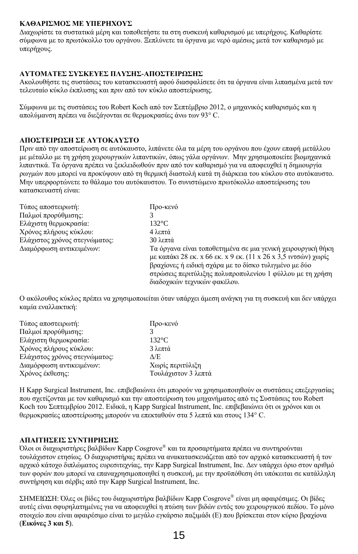#### **ΚΑΘΑΡΙΣΜΟΣ ΜΕ ΥΠΕΡΗΧΟΥΣ**

Διαχωρίστε τα συστατικά μέρη και τοποθετήστε τα στη συσκευή καθαρισμού με υπερήχους. Καθαρίστε σύμφωνα με το πρωτόκολλο του οργάνου. Ξεπλύνετε τα όργανα με νερό αμέσως μετά τον καθαρισμό με υπερήχους.

#### **ΑΥΤΟΜΑΤΕΣ ΣΥΣΚΕΥΕΣ ΠΛΥΣΗΣ-ΑΠΟΣΤΕΙΡΩΣΗΣ**

Ακολουθήστε τις συστάσεις του κατασκευαστή αφού διασφαλίσετε ότι τα όργανα είναι λιπασμένα μετά τον τελευταίο κύκλο έκπλυσης και πριν από τον κύκλο αποστείρωσης.

Σύμφωνα με τις συστάσεις του Robert Koch από τον Σεπτέμβριο 2012, ο μηχανικός καθαρισμός και η απολύμανση πρέπει να διεξάγονται σε θερμοκρασίες άνω των 93° C.

#### **ΑΠΟΣΤΕΙΡΩΣΗ ΣΕ ΑΥΤΟΚΑΥΣΤΟ**

Πριν από την αποστείρωση σε αυτόκαυστο, λιπάνετε όλα τα μέρη του οργάνου που έχουν επαφή μετάλλου με μέταλλο με τη χρήση χειρουργικών λιπαντικών, όπως γάλα οργάνων. Μην χρησιμοποιείτε βιομηχανικά λιπαντικά. Τα όργανα πρέπει να ξεκλειδωθούν πριν από τον καθαρισμό για να αποφευχθεί η δημιουργία ρωγμών που μπορεί να προκύψουν από τη θερμική διαστολή κατά τη διάρκεια του κύκλου στο αυτόκαυστο. Μην υπερφορτώνετε το θάλαμο του αυτόκαυστου. Το συνιστώμενο πρωτόκολλο αποστείρωσης του κατασκευαστή είναι:

| Τύπος αποστειρωτή:            | Προ-κενό                                                                                                                                                                                                                                            |
|-------------------------------|-----------------------------------------------------------------------------------------------------------------------------------------------------------------------------------------------------------------------------------------------------|
| Παλμοί προρύθμισης:           |                                                                                                                                                                                                                                                     |
| Ελάγιστη θερμοκρασία:         | $132^{\circ}$ C                                                                                                                                                                                                                                     |
| Χρόνος πλήρους κύκλου:        | 4 λεπτά                                                                                                                                                                                                                                             |
| Ελάχιστος χρόνος στεγνώματος: | 30 λεπτά                                                                                                                                                                                                                                            |
| Διαμόρφωση αντικειμένων:      | Τα όργανα είναι τοποθετημένα σε μια γενική γειρουργική θήκη<br>με καπάκι 28 εκ. x 66 εκ. x 9 εκ. (11 x 26 x 3,5 ιντσών) γωρίς<br>βραχίονες ή ειδική σχάρα με το δίσκο τυλιγμένο με δύο<br>στρώσεις περιτύλιξης πολυπροπυλενίου 1 φύλλου με τη χρήση |
|                               | διαδογικών τεγνικών φακέλου.                                                                                                                                                                                                                        |

Ο ακόλουθος κύκλος πρέπει να χρησιμοποιείται όταν υπάρχει άμεση ανάγκη για τη συσκευή και δεν υπάρχει καμία εναλλακτική:

| Χωρίς περιτύλιξη    |
|---------------------|
| Τουλάχιστον 3 λεπτά |
|                     |

Η Kapp Surgical Instrument, Inc. επιβεβαιώνει ότι μπορούν να χρησιμοποιηθούν οι συστάσεις επεξεργασίας που σχετίζονται με τον καθαρισμό και την αποστείρωση του μηχανήματος από τις Συστάσεις του Robert Koch του Σεπτεμβρίου 2012. Ειδικά, η Kapp Surgical Instrument, Inc. επιβεβαιώνει ότι οι χρόνοι και οι θερμοκρασίες αποστείρωσης μπορούν να επεκταθούν στα 5 λεπτά και στους 134° C.

#### **ΑΠΑΙΤΗΣΕΙΣ ΣΥΝΤΗΡΗΣΗΣ**

Όλοι οι διαχωριστήρες βαλβίδων Kapp Cosgrove® και τα προσαρτήματα πρέπει να συντηρούνται τουλάχιστον ετησίως. Ο διαχωριστήρας πρέπει να ανακατασκευάζεται από τον αρχικό κατασκευαστή ή τον αρχικό κάτοχο διπλώματος ευρεσιτεχνίας, την Kapp Surgical Instrument, Inc. Δεν υπάρχει όριο στον αριθμό των φορών που μπορεί να επαναχρησιμοποιηθεί η συσκευή, με την προϋπόθεση ότι υπόκειται σε κατάλληλη συντήρηση και σέρβις από την Kapp Surgical Instrument, Inc.

ΣΗΜΕΙΩΣΗ: Όλες οι βίδες του διαχωριστήρα βαλβίδων Kapp Cosgrove® είναι μη αφαιρέσιμες. Οι βίδες αυτές είναι σφυρηλατημένες για να αποφευχθεί η πτώση των βιδών εντός του χειρουργικού πεδίου. Το μόνο στοιχείο που είναι αφαιρέσιμο είναι το μεγάλο εγκάρσιο παξιμάδι (E) που βρίσκεται στον κύριο βραχίονα (**Εικόνες 3 και 5**).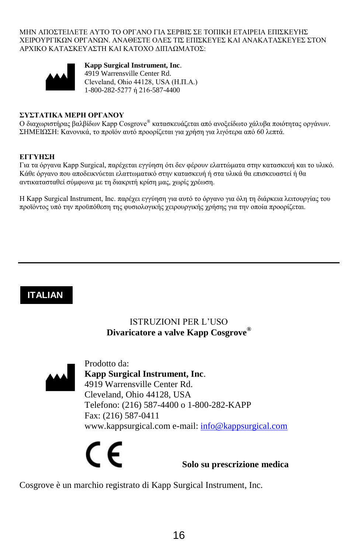ΜΗΝ ΑΠΟΣΤΕΙΛΕΤΕ ΑΥΤΟ ΤΟ ΟΡΓΑΝΟ ΓΙΑ ΣΕΡΒΙΣ ΣΕ ΤΟΠΙΚΗ ΕΤΑΙΡΕΙΑ ΕΠΙΣΚΕΥΗΣ ΧΕΙΡΟΥΡΓΙΚΩΝ ΟΡΓΑΝΩΝ. ΑΝΑΘΕΣΤΕ ΟΛΕΣ ΤΙΣ ΕΠΙΣΚΕΥΕΣ ΚΑΙ ΑΝΑΚΑΤΑΣΚΕΥΕΣ ΣΤΟΝ ΑΡΧΙΚΟ ΚΑΤΑΣΚΕΥΑΣΤΗ ΚΑΙ ΚΑΤΟΧΟ ΔΙΠΛΩΜΑΤΟΣ:



**Kapp Surgical Instrument, Inc**. 4919 Warrensville Center Rd. Cleveland, Ohio 44128, USA (Η.Π.Α.) 1-800-282-5277 ή 216-587-4400

#### **ΣΥΣΤΑΤΙΚΑ ΜΕΡΗ ΟΡΓΑΝΟΥ**

Ο διαχωριστήρας βαλβίδων Kapp Cosgrove® κατασκευάζεται από ανοξείδωτο χάλυβα ποιότητας οργάνων. ΣΗΜΕΙΩΣΗ: Κανονικά, το προϊόν αυτό προορίζεται για χρήση για λιγότερα από 60 λεπτά.

#### **ΕΓΓΥΗΣΗ**

Για τα όργανα Kapp Surgical, παρέχεται εγγύηση ότι δεν φέρουν ελαττώματα στην κατασκευή και το υλικό. Κάθε όργανο που αποδεικνύεται ελαττωματικό στην κατασκευή ή στα υλικά θα επισκευαστεί ή θα αντικατασταθεί σύμφωνα με τη διακριτή κρίση μας, χωρίς χρέωση.

Η Kapp Surgical Instrument, Inc. παρέχει εγγύηση για αυτό το όργανο για όλη τη διάρκεια λειτουργίας του προϊόντος υπό την προϋπόθεση της φυσιολογικής χειρουργικής χρήσης για την οποία προορίζεται.

#### **ITALIAN**

#### ISTRUZIONI PER L'USO **Divaricatore a valve Kapp Cosgrove®**



Prodotto da: **Kapp Surgical Instrument, Inc**. 4919 Warrensville Center Rd. Cleveland, Ohio 44128, USA Telefono: (216) 587-4400 o 1-800-282-KAPP Fax: (216) 587-0411 www.kappsurgical.com e-mail: [info@kappsurgical.com](mailto:info@kappsurgical.com)



Cosgrove è un marchio registrato di Kapp Surgical Instrument, Inc.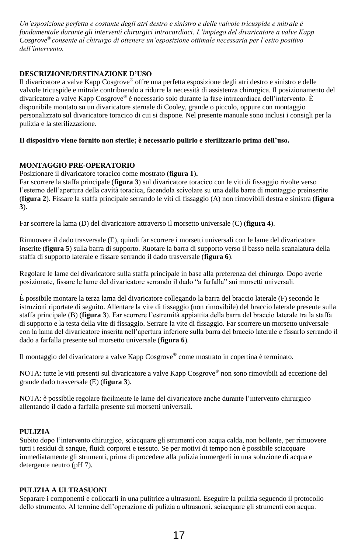*Un'esposizione perfetta e costante degli atri destro e sinistro e delle valvole tricuspide e mitrale è fondamentale durante gli interventi chirurgici intracardiaci. L'impiego del divaricatore a valve Kapp Cosgrove® consente al chirurgo di ottenere un'esposizione ottimale necessaria per l'esito positivo dell'intervento.*

#### **DESCRIZIONE/DESTINAZIONE D'USO**

Il divaricatore a valve Kapp Cosgrove*®* offre una perfetta esposizione degli atri destro e sinistro e delle valvole tricuspide e mitrale contribuendo a ridurre la necessità di assistenza chirurgica. Il posizionamento del divaricatore a valve Kapp Cosgrove*®* è necessario solo durante la fase intracardiaca dell'intervento. È disponibile montato su un divaricatore sternale di Cooley, grande o piccolo, oppure con montaggio personalizzato sul divaricatore toracico di cui si dispone. Nel presente manuale sono inclusi i consigli per la pulizia e la sterilizzazione.

#### **Il dispositivo viene fornito non sterile; è necessario pulirlo e sterilizzarlo prima dell'uso.**

#### **MONTAGGIO PRE-OPERATORIO**

Posizionare il divaricatore toracico come mostrato (**figura 1**)**.** 

Far scorrere la staffa principale (**figura 3**) sul divaricatore toracico con le viti di fissaggio rivolte verso l'esterno dell'apertura della cavità toracica, facendola scivolare su una delle barre di montaggio preinserite (**figura 2**). Fissare la staffa principale serrando le viti di fissaggio (A) non rimovibili destra e sinistra (**figura 3**).

Far scorrere la lama (D) del divaricatore attraverso il morsetto universale (C) (**figura 4**).

Rimuovere il dado trasversale (E), quindi far scorrere i morsetti universali con le lame del divaricatore inserite (**figura 5**) sulla barra di supporto. Ruotare la barra di supporto verso il basso nella scanalatura della staffa di supporto laterale e fissare serrando il dado trasversale (**figura 6**).

Regolare le lame del divaricatore sulla staffa principale in base alla preferenza del chirurgo. Dopo averle posizionate, fissare le lame del divaricatore serrando il dado "a farfalla" sui morsetti universali.

È possibile montare la terza lama del divaricatore collegando la barra del braccio laterale (F) secondo le istruzioni riportate di seguito. Allentare la vite di fissaggio (non rimovibile) del braccio laterale presente sulla staffa principale (B) (**figura 3**). Far scorrere l'estremità appiattita della barra del braccio laterale tra la staffa di supporto e la testa della vite di fissaggio. Serrare la vite di fissaggio. Far scorrere un morsetto universale con la lama del divaricatore inserita nell'apertura inferiore sulla barra del braccio laterale e fissarlo serrando il dado a farfalla presente sul morsetto universale (**figura 6**).

Il montaggio del divaricatore a valve Kapp Cosgrove*®* come mostrato in copertina è terminato.

NOTA: tutte le viti presenti sul divaricatore a valve Kapp Cosgrove*®* non sono rimovibili ad eccezione del grande dado trasversale (E) (**figura 3**).

NOTA: è possibile regolare facilmente le lame del divaricatore anche durante l'intervento chirurgico allentando il dado a farfalla presente sui morsetti universali.

#### **PULIZIA**

Subito dopo l'intervento chirurgico, sciacquare gli strumenti con acqua calda, non bollente, per rimuovere tutti i residui di sangue, fluidi corporei e tessuto. Se per motivi di tempo non è possibile sciacquare immediatamente gli strumenti, prima di procedere alla pulizia immergerli in una soluzione di acqua e detergente neutro (pH 7).

#### **PULIZIA A ULTRASUONI**

Separare i componenti e collocarli in una pulitrice a ultrasuoni. Eseguire la pulizia seguendo il protocollo dello strumento. Al termine dell'operazione di pulizia a ultrasuoni, sciacquare gli strumenti con acqua.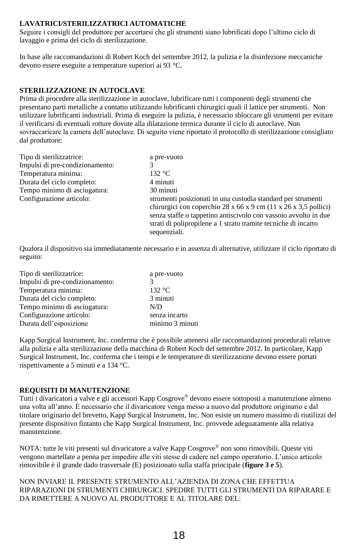#### **LAVATRICI/STERILIZZATRICI AUTOMATICHE**

Seguire i consigli del produttore per accertarsi che gli strumenti siano lubrificati dopo l'ultimo ciclo di lavaggio e prima del ciclo di sterilizzazione.

In base alle raccomandazioni di Robert Koch del settembre 2012, la pulizia e la disinfezione meccaniche devono essere eseguite a temperature superiori ai 93 °C.

#### **STERILIZZAZIONE IN AUTOCLAVE**

Prima di procedere alla sterilizzazione in autoclave, lubrificare tutti i componenti degli strumenti che presentano parti metalliche a contatto utilizzando lubrificanti chirurgici quali il lattice per strumenti. Non utilizzare lubrificanti industriali. Prima di eseguire la pulizia, è necessario sbloccare gli strumenti per evitare il verificarsi di eventuali rotture dovute alla dilatazione termica durante il ciclo di autoclave. Non sovraccaricare la camera dell'autoclave. Di seguito viene riportato il protocollo di sterilizzazione consigliato dal produttore:

| Tipo di sterilizzatrice:        | a pre-vuoto                                                                                                                                                                                                                                                                          |
|---------------------------------|--------------------------------------------------------------------------------------------------------------------------------------------------------------------------------------------------------------------------------------------------------------------------------------|
| Impulsi di pre-condizionamento: |                                                                                                                                                                                                                                                                                      |
| Temperatura minima:             | 132 °C                                                                                                                                                                                                                                                                               |
| Durata del ciclo completo:      | 4 minuti                                                                                                                                                                                                                                                                             |
| Tempo minimo di asciugatura:    | 30 minuti                                                                                                                                                                                                                                                                            |
| Configurazione articolo:        | strumenti posizionati in una custodia standard per strumenti<br>chirurgici con coperchio 28 x 66 x 9 cm (11 x 26 x 3,5 pollici)<br>senza staffe o tappetino antiscivolo con vassoio avvolto in due<br>strati di polipropilene a 1 strato tramite tecniche di incarto<br>sequenziali. |

Qualora il dispositivo sia immediatamente necessario e in assenza di alternative, utilizzare il ciclo riportato di seguito:

| Tipo di sterilizzatrice:        | a pre-vuoto     |
|---------------------------------|-----------------|
| Impulsi di pre-condizionamento: |                 |
| Temperatura minima:             | 132 °C          |
| Durata del ciclo completo:      | 3 minuti        |
| Tempo minimo di asciugatura:    | N/D             |
| Configurazione articolo:        | senza incarto   |
| Durata dell'esposizione         | minimo 3 minuti |
|                                 |                 |

Kapp Surgical Instrument, Inc. conferma che è possibile attenersi alle raccomandazioni procedurali relative alla pulizia e alla sterilizzazione della macchina di Robert Koch del settembre 2012. In particolare, Kapp Surgical Instrument, Inc. conferma che i tempi e le temperature di sterilizzazione devono essere portati rispettivamente a 5 minuti e a 134 °C.

#### **REQUISITI DI MANUTENZIONE**

Tutti i divaricatori a valve e gli accessori Kapp Cosgrove® devono essere sottoposti a manutenzione almeno una volta all'anno. È necessario che il divaricatore venga messo a nuovo dal produttore originario e dal titolare originario del brevetto, Kapp Surgical Instrument, Inc. Non esiste un numero massimo di riutilizzi del presente dispositivo fintanto che Kapp Surgical Instrument, Inc. provvede adeguatamente alla relativa manutenzione.

NOTA: tutte le viti presenti sul divaricatore a valve Kapp Cosgrove® non sono rimovibili. Queste viti vengono martellate a penna per impedire alle viti stesse di cadere nel campo operatorio. L'unico articolo rimovibile è il grande dado trasversale (E) posizionato sulla staffa principale (**figure 3 e 5**).

NON INVIARE IL PRESENTE STRUMENTO ALL'AZIENDA DI ZONA CHE EFFETTUA RIPARAZIONI DI STRUMENTI CHIRURGICI. SPEDIRE TUTTI GLI STRUMENTI DA RIPARARE E DA RIMETTERE A NUOVO AL PRODUTTORE E AL TITOLARE DEL: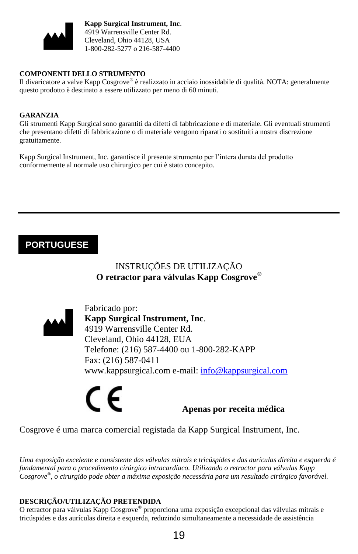

**Kapp Surgical Instrument, Inc**. 4919 Warrensville Center Rd. Cleveland, Ohio 44128, USA 1-800-282-5277 o 216-587-4400

#### **COMPONENTI DELLO STRUMENTO**

Il divaricatore a valve Kapp Cosgrove® è realizzato in acciaio inossidabile di qualità. NOTA: generalmente questo prodotto è destinato a essere utilizzato per meno di 60 minuti.

#### **GARANZIA**

Gli strumenti Kapp Surgical sono garantiti da difetti di fabbricazione e di materiale. Gli eventuali strumenti che presentano difetti di fabbricazione o di materiale vengono riparati o sostituiti a nostra discrezione gratuitamente.

Kapp Surgical Instrument, Inc. garantisce il presente strumento per l'intera durata del prodotto conformemente al normale uso chirurgico per cui è stato concepito.

## **PORTUGUESE**

### INSTRUÇÕES DE UTILIZAÇÃO **O retractor para válvulas Kapp Cosgrove®**



Fabricado por: **Kapp Surgical Instrument, Inc**. 4919 Warrensville Center Rd. Cleveland, Ohio 44128, EUA Telefone: (216) 587-4400 ou 1-800-282-KAPP Fax: (216) 587-0411 www.kappsurgical.com e-mail: [info@kappsurgical.com](mailto:info@kappsurgical.com)

C F

#### **Apenas por receita médica**

Cosgrove é uma marca comercial registada da Kapp Surgical Instrument, Inc.

*Uma exposição excelente e consistente das válvulas mitrais e tricúspides e das aurículas direita e esquerda é fundamental para o procedimento cirúrgico intracardíaco. Utilizando o retractor para válvulas Kapp Cosgrove® , o cirurgião pode obter a máxima exposição necessária para um resultado cirúrgico favorável.* 

#### **DESCRIÇÃO/UTILIZAÇÃO PRETENDIDA**

O retractor para válvulas Kapp Cosgrove*®* proporciona uma exposição excepcional das válvulas mitrais e tricúspides e das aurículas direita e esquerda, reduzindo simultaneamente a necessidade de assistência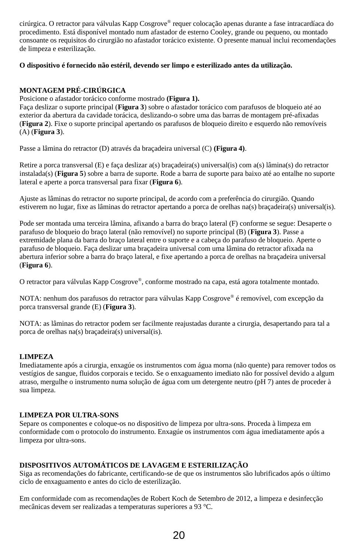cirúrgica. O retractor para válvulas Kapp Cosgrove*®* requer colocação apenas durante a fase intracardíaca do procedimento. Está disponível montado num afastador de esterno Cooley, grande ou pequeno, ou montado consoante os requisitos do cirurgião no afastador torácico existente. O presente manual inclui recomendações de limpeza e esterilização.

#### **O dispositivo é fornecido não estéril, devendo ser limpo e esterilizado antes da utilização.**

#### **MONTAGEM PRÉ-CIRÚRGICA**

Posicione o afastador torácico conforme mostrado **(Figura 1).** 

Faça deslizar o suporte principal (**Figura 3**) sobre o afastador torácico com parafusos de bloqueio até ao exterior da abertura da cavidade torácica, deslizando-o sobre uma das barras de montagem pré-afixadas (**Figura 2**). Fixe o suporte principal apertando os parafusos de bloqueio direito e esquerdo não removíveis (A) (**Figura 3**).

Passe a lâmina do retractor (D) através da braçadeira universal (C) **(Figura 4)**.

Retire a porca transversal (E) e faça deslizar a(s) braçadeira(s) universal(is) com a(s) lâmina(s) do retractor instalada(s) (**Figura 5**) sobre a barra de suporte. Rode a barra de suporte para baixo até ao entalhe no suporte lateral e aperte a porca transversal para fixar (**Figura 6**).

Ajuste as lâminas do retractor no suporte principal, de acordo com a preferência do cirurgião. Quando estiverem no lugar, fixe as lâminas do retractor apertando a porca de orelhas na(s) braçadeira(s) universal(is).

Pode ser montada uma terceira lâmina, afixando a barra do braço lateral (F) conforme se segue: Desaperte o parafuso de bloqueio do braço lateral (não removível) no suporte principal (B) (**Figura 3**). Passe a extremidade plana da barra do braço lateral entre o suporte e a cabeça do parafuso de bloqueio. Aperte o parafuso de bloqueio. Faça deslizar uma braçadeira universal com uma lâmina do retractor afixada na abertura inferior sobre a barra do braço lateral, e fixe apertando a porca de orelhas na braçadeira universal (**Figura 6**).

O retractor para válvulas Kapp Cosgrove*®* , conforme mostrado na capa, está agora totalmente montado.

NOTA: nenhum dos parafusos do retractor para válvulas Kapp Cosgrove*®* é removível, com excepção da porca transversal grande (E) (**Figura 3**).

NOTA: as lâminas do retractor podem ser facilmente reajustadas durante a cirurgia, desapertando para tal a porca de orelhas na(s) braçadeira(s) universal(is).

#### **LIMPEZA**

Imediatamente após a cirurgia, enxagúe os instrumentos com água morna (não quente) para remover todos os vestígios de sangue, fluidos corporais e tecido. Se o enxaguamento imediato não for possível devido a algum atraso, mergulhe o instrumento numa solução de água com um detergente neutro (pH 7) antes de proceder à sua limpeza.

#### **LIMPEZA POR ULTRA-SONS**

Separe os componentes e coloque-os no dispositivo de limpeza por ultra-sons. Proceda à limpeza em conformidade com o protocolo do instrumento. Enxagúe os instrumentos com água imediatamente após a limpeza por ultra-sons.

#### **DISPOSITIVOS AUTOMÁTICOS DE LAVAGEM E ESTERILIZAÇÃO**

Siga as recomendações do fabricante, certificando-se de que os instrumentos são lubrificados após o último ciclo de enxaguamento e antes do ciclo de esterilização.

Em conformidade com as recomendações de Robert Koch de Setembro de 2012, a limpeza e desinfecção mecânicas devem ser realizadas a temperaturas superiores a 93 °C.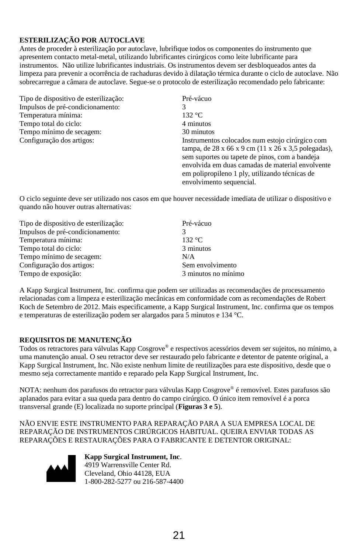#### **ESTERILIZAÇÃO POR AUTOCLAVE**

Antes de proceder à esterilização por autoclave, lubrifique todos os componentes do instrumento que apresentem contacto metal-metal, utilizando lubrificantes cirúrgicos como leite lubrificante para instrumentos. Não utilize lubrificantes industriais. Os instrumentos devem ser desbloqueados antes da limpeza para prevenir a ocorrência de rachaduras devido à dilatação térmica durante o ciclo de autoclave. Não sobrecarregue a câmara de autoclave. Segue-se o protocolo de esterilização recomendado pelo fabricante:

| Tipo de dispositivo de esterilização: | Pré-vácuo                                                                                                                                                                                                                                                                                                |
|---------------------------------------|----------------------------------------------------------------------------------------------------------------------------------------------------------------------------------------------------------------------------------------------------------------------------------------------------------|
| Impulsos de pré-condicionamento:      |                                                                                                                                                                                                                                                                                                          |
| Temperatura mínima:                   | 132 °C                                                                                                                                                                                                                                                                                                   |
| Tempo total do ciclo:                 | 4 minutos                                                                                                                                                                                                                                                                                                |
| Tempo mínimo de secagem:              | 30 minutos                                                                                                                                                                                                                                                                                               |
| Configuração dos artigos:             | Instrumentos colocados num estojo cirúrgico com<br>tampa, de 28 x 66 x 9 cm $(11 \times 26 \times 3, 5)$ polegadas),<br>sem suportes ou tapete de pinos, com a bandeja<br>envolvida em duas camadas de material envolvente<br>em polipropileno 1 ply, utilizando técnicas de<br>envolvimento sequencial. |

O ciclo seguinte deve ser utilizado nos casos em que houver necessidade imediata de utilizar o dispositivo e quando não houver outras alternativas:

| Tipo de dispositivo de esterilização: | Pré-vácuo           |
|---------------------------------------|---------------------|
| Impulsos de pré-condicionamento:      |                     |
| Temperatura mínima:                   | 132 °C              |
| Tempo total do ciclo:                 | 3 minutos           |
| Tempo mínimo de secagem:              | N/A                 |
| Configuração dos artigos:             | Sem envolvimento    |
| Tempo de exposição:                   | 3 minutos no mínimo |

A Kapp Surgical Instrument, Inc. confirma que podem ser utilizadas as recomendações de processamento relacionadas com a limpeza e esterilização mecânicas em conformidade com as recomendações de Robert Koch de Setembro de 2012. Mais especificamente, a Kapp Surgical Instrument, Inc. confirma que os tempos e temperaturas de esterilização podem ser alargados para 5 minutos e 134 °C.

#### **REQUISITOS DE MANUTENÇÃO**

Todos os retractores para válvulas Kapp Cosgrove® e respectivos acessórios devem ser sujeitos, no mínimo, a uma manutenção anual. O seu retractor deve ser restaurado pelo fabricante e detentor de patente original, a Kapp Surgical Instrument, Inc. Não existe nenhum limite de reutilizações para este dispositivo, desde que o mesmo seja correctamente mantido e reparado pela Kapp Surgical Instrument, Inc.

NOTA: nenhum dos parafusos do retractor para válvulas Kapp Cosgrove® é removível. Estes parafusos são aplanados para evitar a sua queda para dentro do campo cirúrgico. O único item removível é a porca transversal grande (E) localizada no suporte principal (**Figuras 3 e 5**).

NÃO ENVIE ESTE INSTRUMENTO PARA REPARAÇÃO PARA A SUA EMPRESA LOCAL DE REPARAÇÃO DE INSTRUMENTOS CIRÚRGICOS HABITUAL. QUEIRA ENVIAR TODAS AS REPARAÇÕES E RESTAURAÇÕES PARA O FABRICANTE E DETENTOR ORIGINAL:



**Kapp Surgical Instrument, Inc**. 4919 Warrensville Center Rd. Cleveland, Ohio 44128, EUA 1-800-282-5277 ou 216-587-4400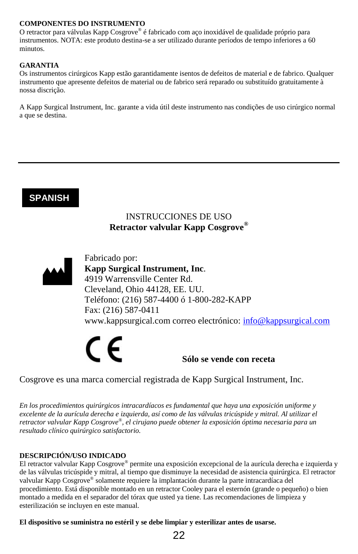#### **COMPONENTES DO INSTRUMENTO**

O retractor para válvulas Kapp Cosgrove® é fabricado com aço inoxidável de qualidade próprio para instrumentos. NOTA: este produto destina-se a ser utilizado durante períodos de tempo inferiores a 60 minutos.

#### **GARANTIA**

Os instrumentos cirúrgicos Kapp estão garantidamente isentos de defeitos de material e de fabrico. Qualquer instrumento que apresente defeitos de material ou de fabrico será reparado ou substituído gratuitamente à nossa discrição.

A Kapp Surgical Instrument, Inc. garante a vida útil deste instrumento nas condições de uso cirúrgico normal a que se destina.

### **SPANISH**

#### INSTRUCCIONES DE USO **Retractor valvular Kapp Cosgrove®**



Fabricado por: **Kapp Surgical Instrument, Inc**. 4919 Warrensville Center Rd. Cleveland, Ohio 44128, EE. UU. Teléfono: (216) 587-4400 ó 1-800-282-KAPP Fax: (216) 587-0411 www.kappsurgical.com correo electrónico: [info@kappsurgical.com](mailto:info@kappsurgical.com)



Cosgrove es una marca comercial registrada de Kapp Surgical Instrument, Inc.

*En los procedimientos quirúrgicos intracardíacos es fundamental que haya una exposición uniforme y excelente de la aurícula derecha e izquierda, así como de las válvulas tricúspide y mitral. Al utilizar el retractor valvular Kapp Cosgrove® , el cirujano puede obtener la exposición óptima necesaria para un resultado clínico quirúrgico satisfactorio.* 

#### **DESCRIPCIÓN/USO INDICADO**

El retractor valvular Kapp Cosgrove*®* permite una exposición excepcional de la aurícula derecha e izquierda y de las válvulas tricúspide y mitral, al tiempo que disminuye la necesidad de asistencia quirúrgica. El retractor valvular Kapp Cosgrove*®* solamente requiere la implantación durante la parte intracardíaca del procedimiento. Está disponible montado en un retractor Cooley para el esternón (grande o pequeño) o bien montado a medida en el separador del tórax que usted ya tiene. Las recomendaciones de limpieza y esterilización se incluyen en este manual.

**El dispositivo se suministra no estéril y se debe limpiar y esterilizar antes de usarse.** 

22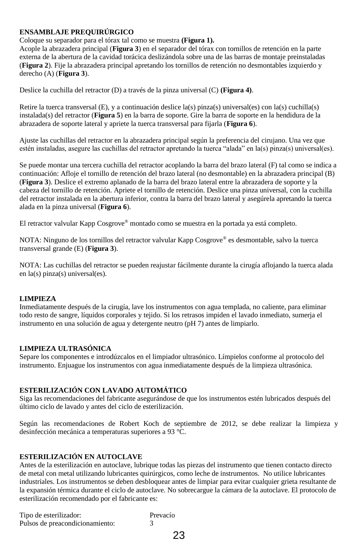#### **ENSAMBLAJE PREQUIRÚRGICO**

#### Coloque su separador para el tórax tal como se muestra **(Figura 1).**

Acople la abrazadera principal (**Figura 3**) en el separador del tórax con tornillos de retención en la parte externa de la abertura de la cavidad torácica deslizándola sobre una de las barras de montaje preinstaladas (**Figura 2**). Fije la abrazadera principal apretando los tornillos de retención no desmontables izquierdo y derecho (A) (**Figura 3**).

Deslice la cuchilla del retractor (D) a través de la pinza universal (C) **(Figura 4)**.

Retire la tuerca transversal (E), y a continuación deslice la(s) pinza(s) universal(es) con la(s) cuchilla(s) instalada(s) del retractor (**Figura 5**) en la barra de soporte. Gire la barra de soporte en la hendidura de la abrazadera de soporte lateral y apriete la tuerca transversal para fijarla (**Figura 6**).

Ajuste las cuchillas del retractor en la abrazadera principal según la preferencia del cirujano. Una vez que estén instaladas, asegure las cuchillas del retractor apretando la tuerca "alada" en la(s) pinza(s) universal(es).

Se puede montar una tercera cuchilla del retractor acoplando la barra del brazo lateral (F) tal como se indica a continuación: Afloje el tornillo de retención del brazo lateral (no desmontable) en la abrazadera principal (B) (**Figura 3**). Deslice el extremo aplanado de la barra del brazo lateral entre la abrazadera de soporte y la cabeza del tornillo de retención. Apriete el tornillo de retención. Deslice una pinza universal, con la cuchilla del retractor instalada en la abertura inferior, contra la barra del brazo lateral y asegúrela apretando la tuerca alada en la pinza universal (**Figura 6**).

El retractor valvular Kapp Cosgrove*®* montado como se muestra en la portada ya está completo.

NOTA: Ninguno de los tornillos del retractor valvular Kapp Cosgrove*®* es desmontable, salvo la tuerca transversal grande (E) (**Figura 3**).

NOTA: Las cuchillas del retractor se pueden reajustar fácilmente durante la cirugía aflojando la tuerca alada en la(s) pinza(s) universal(es).

#### **LIMPIEZA**

Inmediatamente después de la cirugía, lave los instrumentos con agua templada, no caliente, para eliminar todo resto de sangre, líquidos corporales y tejido. Si los retrasos impiden el lavado inmediato, sumerja el instrumento en una solución de agua y detergente neutro (pH 7) antes de limpiarlo.

#### **LIMPIEZA ULTRASÓNICA**

Separe los componentes e introdúzcalos en el limpiador ultrasónico. Límpielos conforme al protocolo del instrumento. Enjuague los instrumentos con agua inmediatamente después de la limpieza ultrasónica.

#### **ESTERILIZACIÓN CON LAVADO AUTOMÁTICO**

Siga las recomendaciones del fabricante asegurándose de que los instrumentos estén lubricados después del último ciclo de lavado y antes del ciclo de esterilización.

Según las recomendaciones de Robert Koch de septiembre de 2012, se debe realizar la limpieza y desinfección mecánica a temperaturas superiores a 93 °C.

#### **ESTERILIZACIÓN EN AUTOCLAVE**

Antes de la esterilización en autoclave, lubrique todas las piezas del instrumento que tienen contacto directo de metal con metal utilizando lubricantes quirúrgicos, como leche de instrumentos. No utilice lubricantes industriales. Los instrumentos se deben desbloquear antes de limpiar para evitar cualquier grieta resultante de la expansión térmica durante el ciclo de autoclave. No sobrecargue la cámara de la autoclave. El protocolo de esterilización recomendado por el fabricante es:

| Tipo de esterilizador:          | Prevacío |
|---------------------------------|----------|
| Pulsos de preacondicionamiento: |          |
|                                 | 23       |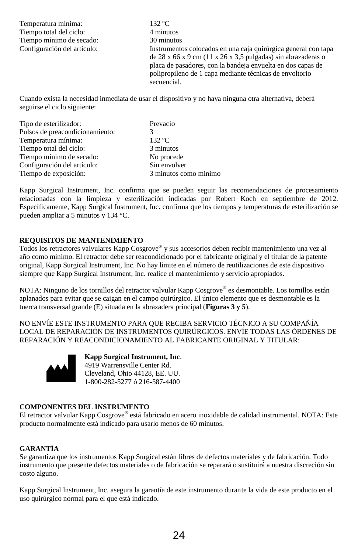| Temperatura mínima:         | $132 \text{ °C}$                                                                                                                                                                                                                                                        |
|-----------------------------|-------------------------------------------------------------------------------------------------------------------------------------------------------------------------------------------------------------------------------------------------------------------------|
| Tiempo total del ciclo:     | 4 minutos                                                                                                                                                                                                                                                               |
| Tiempo mínimo de secado:    | 30 minutos                                                                                                                                                                                                                                                              |
| Configuración del artículo: | Instrumentos colocados en una caja quirúrgica general con tapa<br>de 28 x 66 x 9 cm (11 x 26 x 3,5 pulgadas) sin abrazaderas o<br>placa de pasadores, con la bandeja envuelta en dos capas de<br>polipropileno de 1 capa mediante técnicas de envoltorio<br>secuencial. |
|                             | $\alpha$ is the state and the state of the state of the state of the state of the state of the state of the state of the state of the state of the state of the state of the state of the state of the state of the state of the                                        |

Cuando exista la necesidad inmediata de usar el dispositivo y no haya ninguna otra alternativa, deberá seguirse el ciclo siguiente:

| Tipo de esterilizador:          | Prevacío              |
|---------------------------------|-----------------------|
| Pulsos de preacondicionamiento: |                       |
| Temperatura mínima:             | $132 \text{ °C}$      |
| Tiempo total del ciclo:         | 3 minutos             |
| Tiempo mínimo de secado:        | No procede            |
| Configuración del artículo:     | Sin envolver          |
| Tiempo de exposición:           | 3 minutos como mínimo |

Kapp Surgical Instrument, Inc. confirma que se pueden seguir las recomendaciones de procesamiento relacionadas con la limpieza y esterilización indicadas por Robert Koch en septiembre de 2012. Específicamente, Kapp Surgical Instrument, Inc. confirma que los tiempos y temperaturas de esterilización se pueden ampliar a 5 minutos y 134 °C.

#### **REQUISITOS DE MANTENIMIENTO**

Todos los retractores valvulares Kapp Cosgrove® y sus accesorios deben recibir mantenimiento una vez al año como mínimo. El retractor debe ser reacondicionado por el fabricante original y el titular de la patente original, Kapp Surgical Instrument, Inc. No hay límite en el número de reutilizaciones de este dispositivo siempre que Kapp Surgical Instrument, Inc. realice el mantenimiento y servicio apropiados.

NOTA: Ninguno de los tornillos del retractor valvular Kapp Cosgrove® es desmontable. Los tornillos están aplanados para evitar que se caigan en el campo quirúrgico. El único elemento que es desmontable es la tuerca transversal grande (E) situada en la abrazadera principal (**Figuras 3 y 5**).

NO ENVÍE ESTE INSTRUMENTO PARA QUE RECIBA SERVICIO TÉCNICO A SU COMPAÑÍA LOCAL DE REPARACIÓN DE INSTRUMENTOS QUIRÚRGICOS. ENVÍE TODAS LAS ÓRDENES DE REPARACIÓN Y REACONDICIONAMIENTO AL FABRICANTE ORIGINAL Y TITULAR:



**Kapp Surgical Instrument, Inc**. 4919 Warrensville Center Rd. Cleveland, Ohio 44128, EE. UU. 1-800-282-5277 ó 216-587-4400

#### **COMPONENTES DEL INSTRUMENTO**

El retractor valvular Kapp Cosgrove® está fabricado en acero inoxidable de calidad instrumental. NOTA: Este producto normalmente está indicado para usarlo menos de 60 minutos.

#### **GARANTÍA**

Se garantiza que los instrumentos Kapp Surgical están libres de defectos materiales y de fabricación. Todo instrumento que presente defectos materiales o de fabricación se reparará o sustituirá a nuestra discreción sin costo alguno.

Kapp Surgical Instrument, Inc. asegura la garantía de este instrumento durante la vida de este producto en el uso quirúrgico normal para el que está indicado.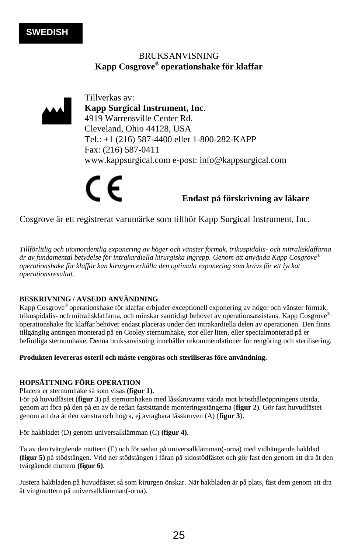#### BRUKSANVISNING **Kapp Cosgrove® operationshake för klaffar**



Tillverkas av: **Kapp Surgical Instrument, Inc**. 4919 Warrensville Center Rd. Cleveland, Ohio 44128, USA Tel.: +1 (216) 587-4400 eller 1-800-282-KAPP Fax: (216) 587-0411 www.kappsurgical.com e-post: [info@kappsurgical.com](mailto:info@kappsurgical.com)

**Endast på förskrivning av läkare**

Cosgrove är ett registrerat varumärke som tillhör Kapp Surgical Instrument, Inc.

*Tillförlitlig och utomordentlig exponering av höger och vänster förmak, trikuspidalis- och mitralisklaffarna är av fundamental betydelse för intrakardiella kirurgiska ingrepp. Genom att använda Kapp Cosgrove® operationshake för klaffar kan kirurgen erhålla den optimala exponering som krävs för ett lyckat operationsresultat.*

#### **BESKRIVNING / AVSEDD ANVÄNDNING**

Kapp Cosgrove® operationshake för klaffar erbjuder exceptionell exponering av höger och vänster förmak, trikuspidalis- och mitralisklaffarna, och minskar samtidigt behovet av operationsassistans. Kapp Cosgrove® operationshake för klaffar behöver endast placeras under den intrakardiella delen av operationen. Den finns tillgänglig antingen monterad på en Cooley sternumhake, stor eller liten, eller specialmonterad på er befintliga sternumhake. Denna bruksanvisning innehåller rekommendationer för rengöring och sterilisering.

#### **Produkten levereras osteril och måste rengöras och steriliseras före användning.**

#### **HOPSÄTTNING FÖRE OPERATION**

Placera er sternumhake så som visas **(figur 1).** 

För på huvudfästet (**figur 3**) på sternumhaken med låsskruvarna vända mot brösthåleöppningens utsida, genom att föra på den på en av de redan fastsittande monteringsstängerna (**figur 2**). Gör fast huvudfästet genom att dra åt den vänstra och högra, ej avtagbara låsskruven (A) (**figur 3**).

För hakbladet (D) genom universalklämman (C) **(figur 4)**.

Ta av den tvärgående muttern (E) och för sedan på universalklämman(-orna) med vidhängande hakblad **(figur 5)** på stödstången. Vrid ner stödstången i fåran på sidostödfästet och gör fast den genom att dra åt den tvärgående muttern **(figur 6)**.

Justera hakbladen på huvudfästet så som kirurgen önskar. När hakbladen är på plats, fäst dem genom att dra åt vingmuttern på universalklämman(-orna).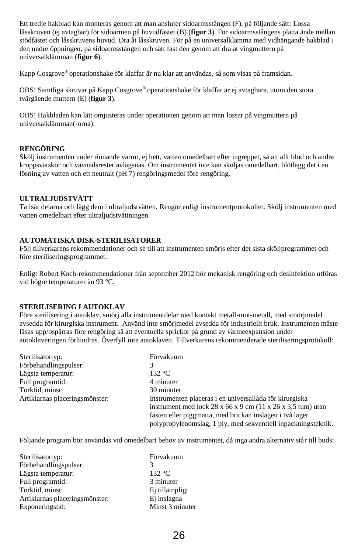Ett tredje hakblad kan monteras genom att man ansluter sidoarmsstången (F), på följande sätt: Lossa låsskruven (ej avtagbar) för sidoarmen på huvudfästet (B) (**figur 3**). För sidoarmsstångens platta ände mellan stödfästet och låsskruvens huvud. Dra åt låsskruven. För på en universalklämma med vidhängande hakblad i den undre öppningen, på sidoarmsstången och sätt fast den genom att dra åt vingmuttern på universalklämman (**figur 6**).

Kapp Cosgrove® operationshake för klaffar är nu klar att användas, så som visas på framsidan.

OBS! Samtliga skruvar på Kapp Cosgrove® operationshake för klaffar är ej avtagbara, utom den stora tvärgående muttern (E) (**figur 3**).

OBS! Hakbladen kan lätt omjusteras under operationen genom att man lossar på vingmuttern på universalklämman(-orna).

#### **RENGÖRING**

Skölj instrumenten under rinnande varmt, ej hett, vatten omedelbart efter ingreppet, så att allt blod och andra kroppsvätskor och vävnadsrester avlägsnas. Om instrumentet inte kan sköljas omedelbart, blötlägg det i en lösning av vatten och ett neutralt (pH 7) rengöringsmedel före rengöring.

#### **ULTRALJUDSTVÄTT**

Ta isär delarna och lägg dem i ultraljudstvätten. Rengör enligt instrumentprotokollet. Skölj instrumenten med vatten omedelbart efter ultraljudstvättningen.

#### **AUTOMATISKA DISK-STERILISATORER**

Följ tillverkarens rekommendationer och se till att instrumenten smörjs efter det sista sköljprogrammet och före steriliseringsprogrammet.

Enligt Robert Koch-rekommendationer från september 2012 bör mekanisk rengöring och desinfektion utföras vid högre temperaturer än 93 °C.

#### **STERILISERING I AUTOKLAV**

Före sterilisering i autoklav, smörj alla instrumentdelar med kontakt metall-mot-metall, med smörjmedel avsedda för kirurgiska instrument. Använd inte smörjmedel avsedda för industriellt bruk. Instrumenten måste låsas upp/ospärras före rengöring så att eventuella sprickor på grund av värmeexpansion under autoklaveringen förhindras. Överfyll inte autoklaven. Tillverkarens rekommenderade steriliseringsprotokoll:

| Sterilisatortyp:               | Förvakuum                                                                                   |
|--------------------------------|---------------------------------------------------------------------------------------------|
| Förbehandlingspulser:          |                                                                                             |
| Lägsta temperatur:             | 132 °C                                                                                      |
| Full programtid:               | 4 minuter                                                                                   |
| Torktid, minst:                | 30 minuter                                                                                  |
| Artiklarnas placeringsmönster: | Instrumenten placeras i en universallåda för kirurgiska                                     |
|                                | instrument med lock $28 \times 66 \times 9$ cm $(11 \times 26 \times 3,5 \text{ tum})$ utan |
|                                | fästen eller piggmatta, med brickan inslagen i två lager                                    |
|                                | polypropylenomslag, 1 ply, med sekventiell inpackningsteknik.                               |

Följande program bör användas vid omedelbart behov av instrumentet, då inga andra alternativ står till buds:

| Sterilisatortyp:               | Förvakuum       |
|--------------------------------|-----------------|
| Förbehandlingspulser:          |                 |
| Lägsta temperatur:             | 132 °C          |
| Full programtid:               | 3 minuter       |
| Torktid, minst:                | Ej tillämpligt  |
| Artiklarnas placeringsmönster: | Ej inslagna     |
| Exponeringstid:                | Minst 3 minuter |

26